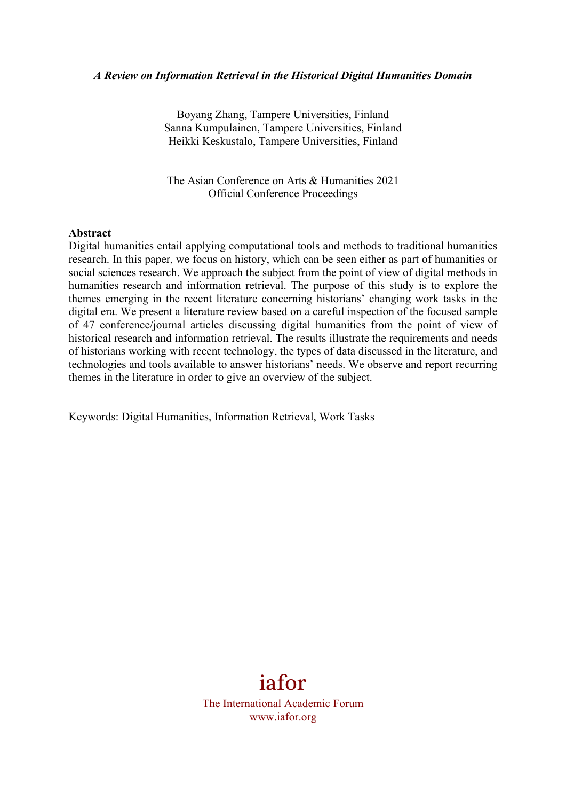#### *A Review on Information Retrieval in the Historical Digital Humanities Domain*

Boyang Zhang, Tampere Universities, Finland Sanna Kumpulainen, Tampere Universities, Finland Heikki Keskustalo, Tampere Universities, Finland

The Asian Conference on Arts & Humanities 2021 Official Conference Proceedings

#### **Abstract**

Digital humanities entail applying computational tools and methods to traditional humanities research. In this paper, we focus on history, which can be seen either as part of humanities or social sciences research. We approach the subject from the point of view of digital methods in humanities research and information retrieval. The purpose of this study is to explore the themes emerging in the recent literature concerning historians' changing work tasks in the digital era. We present a literature review based on a careful inspection of the focused sample of 47 conference/journal articles discussing digital humanities from the point of view of historical research and information retrieval. The results illustrate the requirements and needs of historians working with recent technology, the types of data discussed in the literature, and technologies and tools available to answer historians' needs. We observe and report recurring themes in the literature in order to give an overview of the subject.

Keywords: Digital Humanities, Information Retrieval, Work Tasks

# iafor

The International Academic Forum www.iafor.org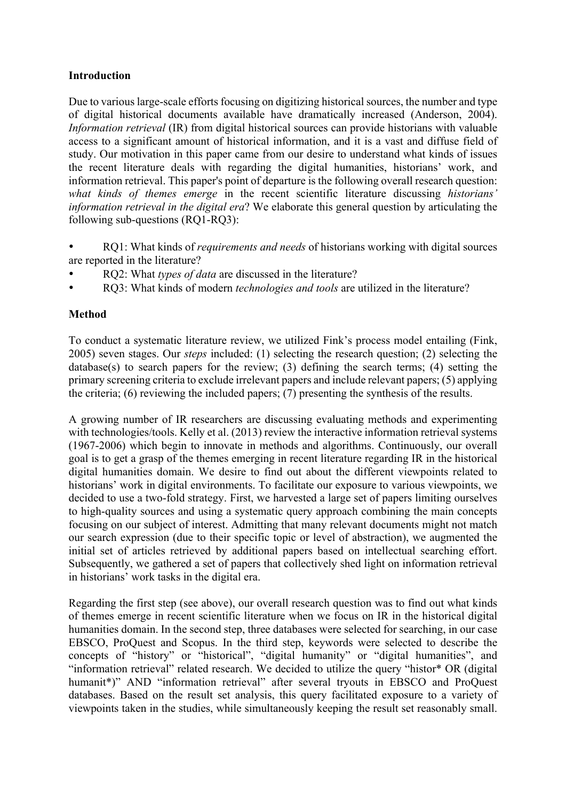#### **Introduction**

Due to various large-scale efforts focusing on digitizing historical sources, the number and type of digital historical documents available have dramatically increased (Anderson, 2004). *Information retrieval* (IR) from digital historical sources can provide historians with valuable access to a significant amount of historical information, and it is a vast and diffuse field of study. Our motivation in this paper came from our desire to understand what kinds of issues the recent literature deals with regarding the digital humanities, historians' work, and information retrieval. This paper's point of departure is the following overall research question: *what kinds of themes emerge* in the recent scientific literature discussing *historians' information retrieval in the digital era*? We elaborate this general question by articulating the following sub-questions (RQ1-RQ3):

- RQ1: What kinds of *requirements and needs* of historians working with digital sources are reported in the literature?
- RQ2: What *types of data* are discussed in the literature?
- RQ3: What kinds of modern *technologies and tools* are utilized in the literature?

## **Method**

To conduct a systematic literature review, we utilized Fink's process model entailing (Fink, 2005) seven stages. Our *steps* included: (1) selecting the research question; (2) selecting the database(s) to search papers for the review; (3) defining the search terms; (4) setting the primary screening criteria to exclude irrelevant papers and include relevant papers; (5) applying the criteria; (6) reviewing the included papers; (7) presenting the synthesis of the results.

A growing number of IR researchers are discussing evaluating methods and experimenting with technologies/tools. Kelly et al. (2013) review the interactive information retrieval systems (1967-2006) which begin to innovate in methods and algorithms. Continuously, our overall goal is to get a grasp of the themes emerging in recent literature regarding IR in the historical digital humanities domain. We desire to find out about the different viewpoints related to historians' work in digital environments. To facilitate our exposure to various viewpoints, we decided to use a two-fold strategy. First, we harvested a large set of papers limiting ourselves to high-quality sources and using a systematic query approach combining the main concepts focusing on our subject of interest. Admitting that many relevant documents might not match our search expression (due to their specific topic or level of abstraction), we augmented the initial set of articles retrieved by additional papers based on intellectual searching effort. Subsequently, we gathered a set of papers that collectively shed light on information retrieval in historians' work tasks in the digital era.

Regarding the first step (see above), our overall research question was to find out what kinds of themes emerge in recent scientific literature when we focus on IR in the historical digital humanities domain. In the second step, three databases were selected for searching, in our case EBSCO, ProQuest and Scopus. In the third step, keywords were selected to describe the concepts of "history" or "historical", "digital humanity" or "digital humanities", and "information retrieval" related research. We decided to utilize the query "histor\* OR (digital humanit<sup>\*</sup>)" AND "information retrieval" after several tryouts in EBSCO and ProQuest databases. Based on the result set analysis, this query facilitated exposure to a variety of viewpoints taken in the studies, while simultaneously keeping the result set reasonably small.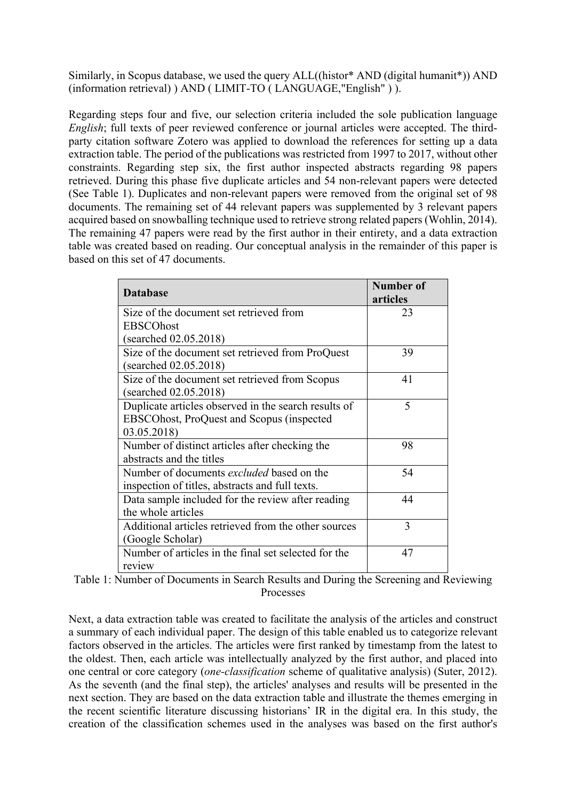Similarly, in Scopus database, we used the query ALL((histor\* AND (digital humanit\*)) AND (information retrieval) ) AND ( LIMIT-TO ( LANGUAGE,"English" ) ).

Regarding steps four and five, our selection criteria included the sole publication language *English*; full texts of peer reviewed conference or journal articles were accepted. The thirdparty citation software Zotero was applied to download the references for setting up a data extraction table. The period of the publications was restricted from 1997 to 2017, without other constraints. Regarding step six, the first author inspected abstracts regarding 98 papers retrieved. During this phase five duplicate articles and 54 non-relevant papers were detected (See Table 1). Duplicates and non-relevant papers were removed from the original set of 98 documents. The remaining set of 44 relevant papers was supplemented by 3 relevant papers acquired based on snowballing technique used to retrieve strong related papers (Wohlin, 2014). The remaining 47 papers were read by the first author in their entirety, and a data extraction table was created based on reading. Our conceptual analysis in the remainder of this paper is based on this set of 47 documents.

| <b>Database</b>                                                                                                  | Number of<br>articles |
|------------------------------------------------------------------------------------------------------------------|-----------------------|
| Size of the document set retrieved from                                                                          | 23                    |
| <b>EBSCOhost</b>                                                                                                 |                       |
| (searched 02.05.2018)                                                                                            |                       |
| Size of the document set retrieved from ProQuest<br>(searched 02.05.2018)                                        | 39                    |
| Size of the document set retrieved from Scopus<br>(searched 02.05.2018)                                          | 41                    |
| Duplicate articles observed in the search results of<br>EBSCOhost, ProQuest and Scopus (inspected<br>03.05.2018) | 5                     |
| Number of distinct articles after checking the<br>abstracts and the titles                                       | 98                    |
| Number of documents excluded based on the<br>inspection of titles, abstracts and full texts.                     | 54                    |
| Data sample included for the review after reading<br>the whole articles                                          | 44                    |
| Additional articles retrieved from the other sources<br>(Google Scholar)                                         | 3                     |
| Number of articles in the final set selected for the<br>review                                                   | 47                    |

| Table 1: Number of Documents in Search Results and During the Screening and Reviewing |  |
|---------------------------------------------------------------------------------------|--|
| <b>Processes</b>                                                                      |  |

Next, a data extraction table was created to facilitate the analysis of the articles and construct a summary of each individual paper. The design of this table enabled us to categorize relevant factors observed in the articles. The articles were first ranked by timestamp from the latest to the oldest. Then, each article was intellectually analyzed by the first author, and placed into one central or core category (*one-classification* scheme of qualitative analysis) (Suter, 2012). As the seventh (and the final step), the articles' analyses and results will be presented in the next section. They are based on the data extraction table and illustrate the themes emerging in the recent scientific literature discussing historians' IR in the digital era. In this study, the creation of the classification schemes used in the analyses was based on the first author's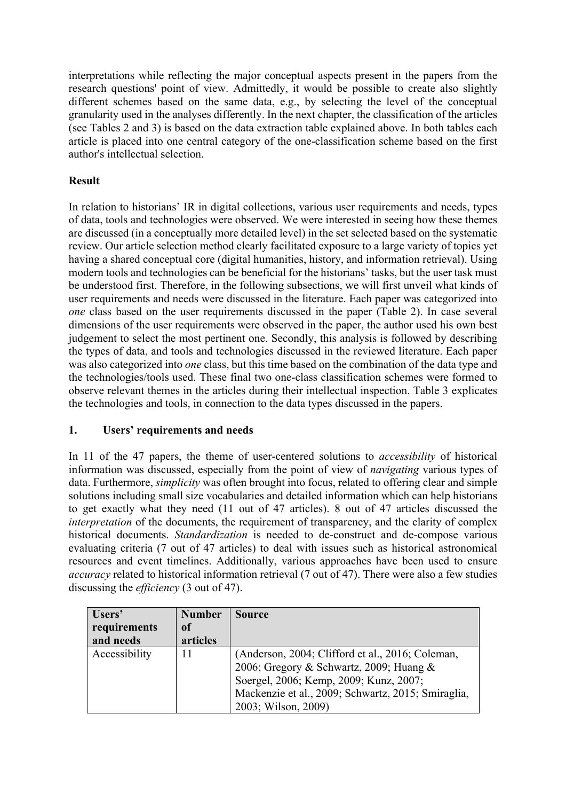interpretations while reflecting the major conceptual aspects present in the papers from the research questions' point of view. Admittedly, it would be possible to create also slightly different schemes based on the same data, e.g., by selecting the level of the conceptual granularity used in the analyses differently. In the next chapter, the classification of the articles (see Tables 2 and 3) is based on the data extraction table explained above. In both tables each article is placed into one central category of the one-classification scheme based on the first author's intellectual selection.

# **Result**

In relation to historians' IR in digital collections, various user requirements and needs, types of data, tools and technologies were observed. We were interested in seeing how these themes are discussed (in a conceptually more detailed level) in the set selected based on the systematic review. Our article selection method clearly facilitated exposure to a large variety of topics yet having a shared conceptual core (digital humanities, history, and information retrieval). Using modern tools and technologies can be beneficial for the historians' tasks, but the user task must be understood first. Therefore, in the following subsections, we will first unveil what kinds of user requirements and needs were discussed in the literature. Each paper was categorized into *one* class based on the user requirements discussed in the paper (Table 2). In case several dimensions of the user requirements were observed in the paper, the author used his own best judgement to select the most pertinent one. Secondly, this analysis is followed by describing the types of data, and tools and technologies discussed in the reviewed literature. Each paper was also categorized into *one* class, but this time based on the combination of the data type and the technologies/tools used. These final two one-class classification schemes were formed to observe relevant themes in the articles during their intellectual inspection. Table 3 explicates the technologies and tools, in connection to the data types discussed in the papers.

# **1. Users' requirements and needs**

In 11 of the 47 papers, the theme of user-centered solutions to *accessibility* of historical information was discussed, especially from the point of view of *navigating* various types of data. Furthermore, *simplicity* was often brought into focus, related to offering clear and simple solutions including small size vocabularies and detailed information which can help historians to get exactly what they need (11 out of 47 articles). 8 out of 47 articles discussed the *interpretation* of the documents, the requirement of transparency, and the clarity of complex historical documents. *Standardization* is needed to de-construct and de-compose various evaluating criteria (7 out of 47 articles) to deal with issues such as historical astronomical resources and event timelines. Additionally, various approaches have been used to ensure *accuracy* related to historical information retrieval (7 out of 47). There were also a few studies discussing the *efficiency* (3 out of 47).

| Users'        | <b>Number</b> | <b>Source</b>                                      |
|---------------|---------------|----------------------------------------------------|
| requirements  | of            |                                                    |
| and needs     | articles      |                                                    |
| Accessibility | 11            | (Anderson, 2004; Clifford et al., 2016; Coleman,   |
|               |               | 2006; Gregory & Schwartz, 2009; Huang &            |
|               |               | Soergel, 2006; Kemp, 2009; Kunz, 2007;             |
|               |               | Mackenzie et al., 2009; Schwartz, 2015; Smiraglia, |
|               |               | 2003; Wilson, 2009)                                |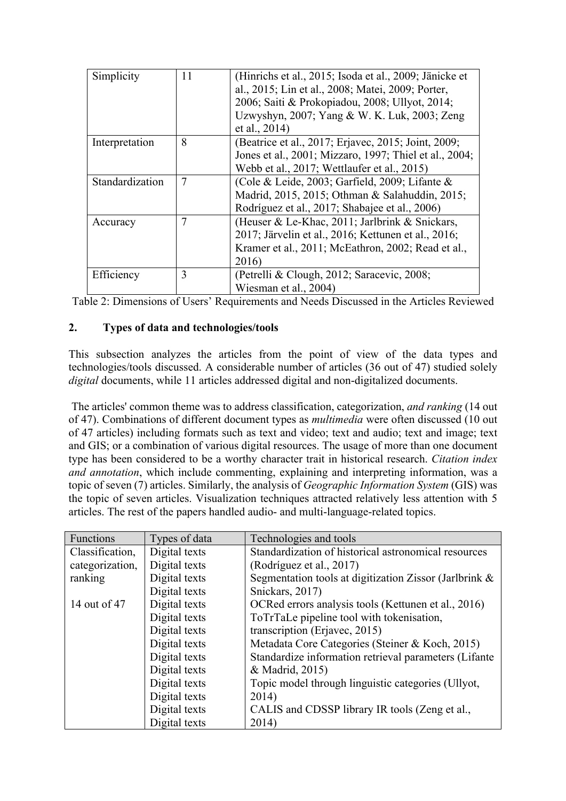| Simplicity      | 11             | (Hinrichs et al., 2015; Isoda et al., 2009; Jänicke et<br>al., 2015; Lin et al., 2008; Matei, 2009; Porter,<br>2006; Saiti & Prokopiadou, 2008; Ullyot, 2014;<br>Uzwyshyn, 2007; Yang & W. K. Luk, 2003; Zeng<br>et al., 2014) |
|-----------------|----------------|--------------------------------------------------------------------------------------------------------------------------------------------------------------------------------------------------------------------------------|
| Interpretation  | 8              | (Beatrice et al., 2017; Erjavec, 2015; Joint, 2009;<br>Jones et al., 2001; Mizzaro, 1997; Thiel et al., 2004;<br>Webb et al., 2017; Wettlaufer et al., 2015)                                                                   |
| Standardization | $\overline{7}$ | (Cole & Leide, 2003; Garfield, 2009; Lifante &<br>Madrid, 2015, 2015; Othman & Salahuddin, 2015;<br>Rodríguez et al., 2017; Shabajee et al., 2006)                                                                             |
| Accuracy        | 7              | (Heuser & Le-Khac, 2011; Jarlbrink & Snickars,<br>2017; Järvelin et al., 2016; Kettunen et al., 2016;<br>Kramer et al., 2011; McEathron, 2002; Read et al.,<br>2016)                                                           |
| Efficiency      | 3              | (Petrelli & Clough, 2012; Saracevic, 2008;<br>Wiesman et al., 2004)                                                                                                                                                            |

Table 2: Dimensions of Users' Requirements and Needs Discussed in the Articles Reviewed

## **2. Types of data and technologies/tools**

This subsection analyzes the articles from the point of view of the data types and technologies/tools discussed. A considerable number of articles (36 out of 47) studied solely *digital* documents, while 11 articles addressed digital and non-digitalized documents.

The articles' common theme was to address classification, categorization, *and ranking* (14 out of 47). Combinations of different document types as *multimedia* were often discussed (10 out of 47 articles) including formats such as text and video; text and audio; text and image; text and GIS; or a combination of various digital resources. The usage of more than one document type has been considered to be a worthy character trait in historical research. *Citation index and annotation*, which include commenting, explaining and interpreting information, was a topic of seven (7) articles. Similarly, the analysis of *Geographic Information System* (GIS) was the topic of seven articles. Visualization techniques attracted relatively less attention with 5 articles. The rest of the papers handled audio- and multi-language-related topics.

| Functions       | Types of data | Technologies and tools                                 |
|-----------------|---------------|--------------------------------------------------------|
| Classification, | Digital texts | Standardization of historical astronomical resources   |
| categorization, | Digital texts | (Rodríguez et al., 2017)                               |
| ranking         | Digital texts | Segmentation tools at digitization Zissor (Jarlbrink & |
|                 | Digital texts | Snickars, 2017)                                        |
| 14 out of 47    | Digital texts | OCRed errors analysis tools (Kettunen et al., 2016)    |
|                 | Digital texts | ToTrTaLe pipeline tool with tokenisation,              |
|                 | Digital texts | transcription (Erjavec, 2015)                          |
|                 | Digital texts | Metadata Core Categories (Steiner & Koch, 2015)        |
|                 | Digital texts | Standardize information retrieval parameters (Lifante  |
|                 | Digital texts | & Madrid, 2015)                                        |
|                 | Digital texts | Topic model through linguistic categories (Ullyot,     |
|                 | Digital texts | 2014)                                                  |
|                 | Digital texts | CALIS and CDSSP library IR tools (Zeng et al.,         |
|                 | Digital texts | 2014)                                                  |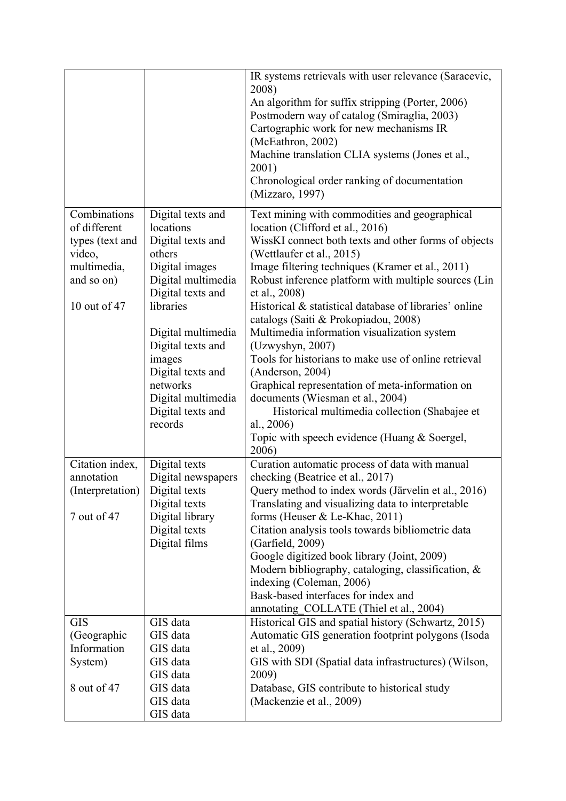|                  |                    | IR systems retrievals with user relevance (Saracevic,                                          |
|------------------|--------------------|------------------------------------------------------------------------------------------------|
|                  |                    | 2008)<br>An algorithm for suffix stripping (Porter, 2006)                                      |
|                  |                    | Postmodern way of catalog (Smiraglia, 2003)                                                    |
|                  |                    | Cartographic work for new mechanisms IR                                                        |
|                  |                    | (McEathron, 2002)                                                                              |
|                  |                    | Machine translation CLIA systems (Jones et al.,                                                |
|                  |                    | 2001)                                                                                          |
|                  |                    | Chronological order ranking of documentation                                                   |
|                  |                    | (Mizzaro, 1997)                                                                                |
| Combinations     | Digital texts and  | Text mining with commodities and geographical                                                  |
| of different     | locations          | location (Clifford et al., 2016)                                                               |
| types (text and  | Digital texts and  | WissKI connect both texts and other forms of objects                                           |
| video,           | others             | (Wettlaufer et al., 2015)                                                                      |
| multimedia,      | Digital images     | Image filtering techniques (Kramer et al., 2011)                                               |
| and so on)       | Digital multimedia | Robust inference platform with multiple sources (Lin                                           |
|                  | Digital texts and  | et al., 2008)                                                                                  |
| 10 out of 47     | libraries          | Historical & statistical database of libraries' online<br>catalogs (Saiti & Prokopiadou, 2008) |
|                  | Digital multimedia | Multimedia information visualization system                                                    |
|                  | Digital texts and  | (Uzwyshyn, 2007)                                                                               |
|                  | images             | Tools for historians to make use of online retrieval                                           |
|                  | Digital texts and  | (Anderson, 2004)                                                                               |
|                  | networks           | Graphical representation of meta-information on                                                |
|                  | Digital multimedia | documents (Wiesman et al., 2004)                                                               |
|                  | Digital texts and  | Historical multimedia collection (Shabajee et                                                  |
|                  | records            | al., $2006$                                                                                    |
|                  |                    | Topic with speech evidence (Huang & Soergel,<br>2006)                                          |
| Citation index,  | Digital texts      | Curation automatic process of data with manual                                                 |
| annotation       | Digital newspapers | checking (Beatrice et al., 2017)                                                               |
| (Interpretation) | Digital texts      | Query method to index words (Järvelin et al., 2016)                                            |
|                  | Digital texts      | Translating and visualizing data to interpretable                                              |
| 7 out of 47      | Digital library    | forms (Heuser & Le-Khac, 2011)                                                                 |
|                  | Digital texts      | Citation analysis tools towards bibliometric data                                              |
|                  | Digital films      | (Garfield, 2009)                                                                               |
|                  |                    | Google digitized book library (Joint, 2009)                                                    |
|                  |                    | Modern bibliography, cataloging, classification, $\&$                                          |
|                  |                    | indexing (Coleman, 2006)                                                                       |
|                  |                    | Bask-based interfaces for index and                                                            |
| <b>GIS</b>       | GIS data           | annotating_COLLATE (Thiel et al., 2004)<br>Historical GIS and spatial history (Schwartz, 2015) |
| (Geographic      | GIS data           | Automatic GIS generation footprint polygons (Isoda                                             |
| Information      | GIS data           | et al., 2009)                                                                                  |
| System)          | GIS data           | GIS with SDI (Spatial data infrastructures) (Wilson,                                           |
|                  | GIS data           | 2009)                                                                                          |
| 8 out of 47      | GIS data           | Database, GIS contribute to historical study                                                   |
|                  | GIS data           | (Mackenzie et al., 2009)                                                                       |
|                  | GIS data           |                                                                                                |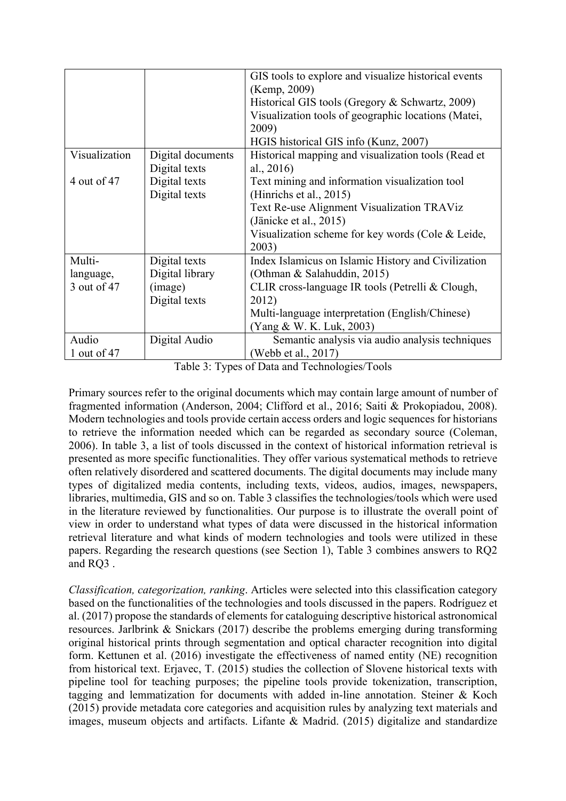|               |                   | GIS tools to explore and visualize historical events |
|---------------|-------------------|------------------------------------------------------|
|               |                   | (Kemp, 2009)                                         |
|               |                   | Historical GIS tools (Gregory & Schwartz, 2009)      |
|               |                   | Visualization tools of geographic locations (Matei,  |
|               |                   | 2009)                                                |
|               |                   | HGIS historical GIS info (Kunz, 2007)                |
| Visualization | Digital documents | Historical mapping and visualization tools (Read et  |
|               | Digital texts     | al., $2016$                                          |
| 4 out of 47   | Digital texts     | Text mining and information visualization tool       |
|               | Digital texts     | (Hinrichs et al., 2015)                              |
|               |                   | Text Re-use Alignment Visualization TRAViz           |
|               |                   | (Jänicke et al., 2015)                               |
|               |                   | Visualization scheme for key words (Cole $&$ Leide,  |
|               |                   | 2003)                                                |
| Multi-        | Digital texts     | Index Islamicus on Islamic History and Civilization  |
| language,     | Digital library   | (Othman & Salahuddin, 2015)                          |
| 3 out of 47   | (image)           | CLIR cross-language IR tools (Petrelli & Clough,     |
|               | Digital texts     | 2012)                                                |
|               |                   | Multi-language interpretation (English/Chinese)      |
|               |                   | (Yang & W. K. Luk, 2003)                             |
| Audio         | Digital Audio     | Semantic analysis via audio analysis techniques      |
| 1 out of 47   |                   | (Webb et al., 2017)                                  |

Table 3: Types of Data and Technologies/Tools

Primary sources refer to the original documents which may contain large amount of number of fragmented information (Anderson, 2004; Clifford et al., 2016; Saiti & Prokopiadou, 2008). Modern technologies and tools provide certain access orders and logic sequences for historians to retrieve the information needed which can be regarded as secondary source (Coleman, 2006). In table 3, a list of tools discussed in the context of historical information retrieval is presented as more specific functionalities. They offer various systematical methods to retrieve often relatively disordered and scattered documents. The digital documents may include many types of digitalized media contents, including texts, videos, audios, images, newspapers, libraries, multimedia, GIS and so on. Table 3 classifies the technologies/tools which were used in the literature reviewed by functionalities. Our purpose is to illustrate the overall point of view in order to understand what types of data were discussed in the historical information retrieval literature and what kinds of modern technologies and tools were utilized in these papers. Regarding the research questions (see Section 1), Table 3 combines answers to RQ2 and RQ3 .

*Classification, categorization, ranking*. Articles were selected into this classification category based on the functionalities of the technologies and tools discussed in the papers. Rodríguez et al. (2017) propose the standards of elements for cataloguing descriptive historical astronomical resources. Jarlbrink & Snickars (2017) describe the problems emerging during transforming original historical prints through segmentation and optical character recognition into digital form. Kettunen et al. (2016) investigate the effectiveness of named entity (NE) recognition from historical text. Erjavec, T. (2015) studies the collection of Slovene historical texts with pipeline tool for teaching purposes; the pipeline tools provide tokenization, transcription, tagging and lemmatization for documents with added in-line annotation. Steiner & Koch (2015) provide metadata core categories and acquisition rules by analyzing text materials and images, museum objects and artifacts. Lifante & Madrid. (2015) digitalize and standardize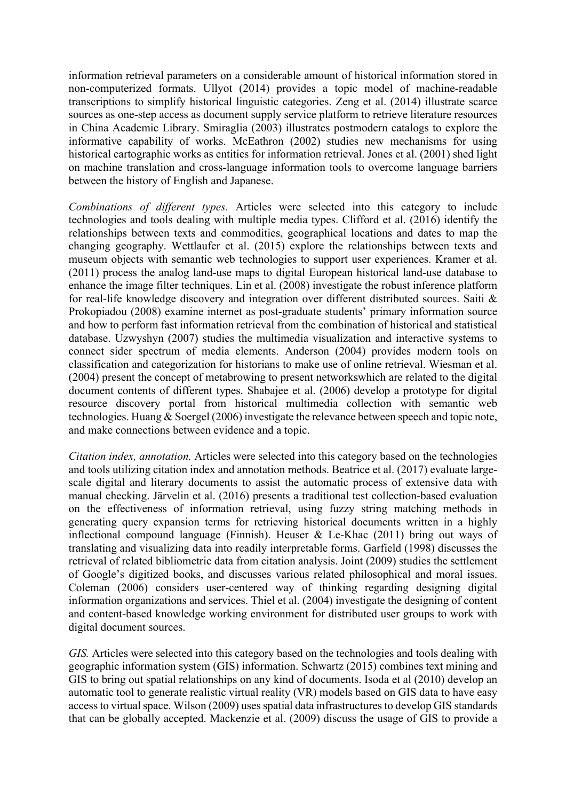information retrieval parameters on a considerable amount of historical information stored in non-computerized formats. Ullyot (2014) provides a topic model of machine-readable transcriptions to simplify historical linguistic categories. Zeng et al. (2014) illustrate scarce sources as one-step access as document supply service platform to retrieve literature resources in China Academic Library. Smiraglia (2003) illustrates postmodern catalogs to explore the informative capability of works. McEathron (2002) studies new mechanisms for using historical cartographic works as entities for information retrieval. Jones et al. (2001) shed light on machine translation and cross-language information tools to overcome language barriers between the history of English and Japanese.

*Combinations of different types.* Articles were selected into this category to include technologies and tools dealing with multiple media types. Clifford et al. (2016) identify the relationships between texts and commodities, geographical locations and dates to map the changing geography. Wettlaufer et al. (2015) explore the relationships between texts and museum objects with semantic web technologies to support user experiences. Kramer et al. (2011) process the analog land-use maps to digital European historical land-use database to enhance the image filter techniques. Lin et al. (2008) investigate the robust inference platform for real-life knowledge discovery and integration over different distributed sources. Saiti & Prokopiadou (2008) examine internet as post-graduate students' primary information source and how to perform fast information retrieval from the combination of historical and statistical database. Uzwyshyn (2007) studies the multimedia visualization and interactive systems to connect sider spectrum of media elements. Anderson (2004) provides modern tools on classification and categorization for historians to make use of online retrieval. Wiesman et al. (2004) present the concept of metabrowing to present networkswhich are related to the digital document contents of different types. Shabajee et al. (2006) develop a prototype for digital resource discovery portal from historical multimedia collection with semantic web technologies. Huang & Soergel (2006) investigate the relevance between speech and topic note, and make connections between evidence and a topic.

*Citation index, annotation.* Articles were selected into this category based on the technologies and tools utilizing citation index and annotation methods. Beatrice et al. (2017) evaluate largescale digital and literary documents to assist the automatic process of extensive data with manual checking. Järvelin et al. (2016) presents a traditional test collection-based evaluation on the effectiveness of information retrieval, using fuzzy string matching methods in generating query expansion terms for retrieving historical documents written in a highly inflectional compound language (Finnish). Heuser & Le-Khac (2011) bring out ways of translating and visualizing data into readily interpretable forms. Garfield (1998) discusses the retrieval of related bibliometric data from citation analysis. Joint (2009) studies the settlement of Google's digitized books, and discusses various related philosophical and moral issues. Coleman (2006) considers user-centered way of thinking regarding designing digital information organizations and services. Thiel et al. (2004) investigate the designing of content and content-based knowledge working environment for distributed user groups to work with digital document sources.

*GIS.* Articles were selected into this category based on the technologies and tools dealing with geographic information system (GIS) information. Schwartz (2015) combines text mining and GIS to bring out spatial relationships on any kind of documents. Isoda et al (2010) develop an automatic tool to generate realistic virtual reality (VR) models based on GIS data to have easy access to virtual space. Wilson (2009) uses spatial data infrastructures to develop GIS standards that can be globally accepted. Mackenzie et al. (2009) discuss the usage of GIS to provide a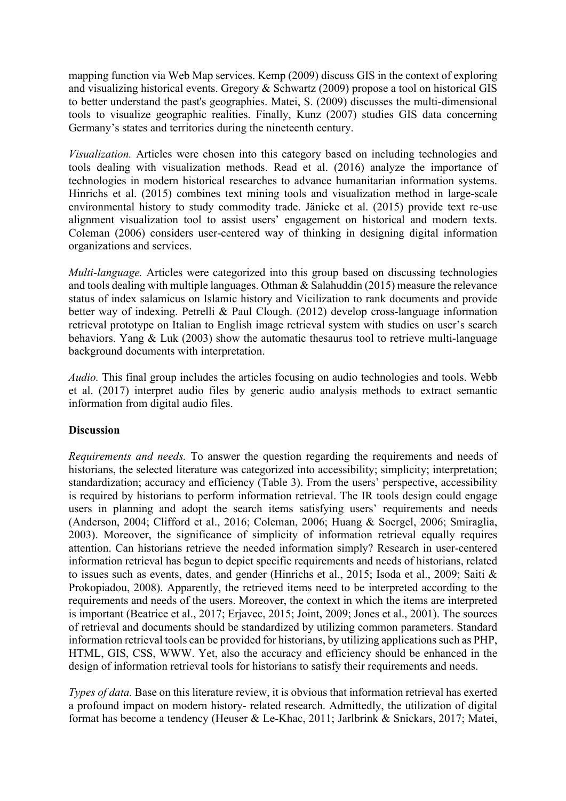mapping function via Web Map services. Kemp (2009) discuss GIS in the context of exploring and visualizing historical events. Gregory & Schwartz (2009) propose a tool on historical GIS to better understand the past's geographies. Matei, S. (2009) discusses the multi-dimensional tools to visualize geographic realities. Finally, Kunz (2007) studies GIS data concerning Germany's states and territories during the nineteenth century.

*Visualization.* Articles were chosen into this category based on including technologies and tools dealing with visualization methods. Read et al. (2016) analyze the importance of technologies in modern historical researches to advance humanitarian information systems. Hinrichs et al. (2015) combines text mining tools and visualization method in large-scale environmental history to study commodity trade. Jänicke et al. (2015) provide text re-use alignment visualization tool to assist users' engagement on historical and modern texts. Coleman (2006) considers user-centered way of thinking in designing digital information organizations and services.

*Multi-language.* Articles were categorized into this group based on discussing technologies and tools dealing with multiple languages. Othman & Salahuddin (2015) measure the relevance status of index salamicus on Islamic history and Vicilization to rank documents and provide better way of indexing. Petrelli & Paul Clough. (2012) develop cross-language information retrieval prototype on Italian to English image retrieval system with studies on user's search behaviors. Yang & Luk (2003) show the automatic thesaurus tool to retrieve multi-language background documents with interpretation.

*Audio.* This final group includes the articles focusing on audio technologies and tools. Webb et al. (2017) interpret audio files by generic audio analysis methods to extract semantic information from digital audio files.

#### **Discussion**

*Requirements and needs.* To answer the question regarding the requirements and needs of historians, the selected literature was categorized into accessibility; simplicity; interpretation; standardization; accuracy and efficiency (Table 3). From the users' perspective, accessibility is required by historians to perform information retrieval. The IR tools design could engage users in planning and adopt the search items satisfying users' requirements and needs (Anderson, 2004; Clifford et al., 2016; Coleman, 2006; Huang & Soergel, 2006; Smiraglia, 2003). Moreover, the significance of simplicity of information retrieval equally requires attention. Can historians retrieve the needed information simply? Research in user-centered information retrieval has begun to depict specific requirements and needs of historians, related to issues such as events, dates, and gender (Hinrichs et al., 2015; Isoda et al., 2009; Saiti & Prokopiadou, 2008). Apparently, the retrieved items need to be interpreted according to the requirements and needs of the users. Moreover, the context in which the items are interpreted is important (Beatrice et al., 2017; Erjavec, 2015; Joint, 2009; Jones et al., 2001). The sources of retrieval and documents should be standardized by utilizing common parameters. Standard information retrieval tools can be provided for historians, by utilizing applications such as PHP, HTML, GIS, CSS, WWW. Yet, also the accuracy and efficiency should be enhanced in the design of information retrieval tools for historians to satisfy their requirements and needs.

*Types of data.* Base on this literature review, it is obvious that information retrieval has exerted a profound impact on modern history- related research. Admittedly, the utilization of digital format has become a tendency (Heuser & Le-Khac, 2011; Jarlbrink & Snickars, 2017; Matei,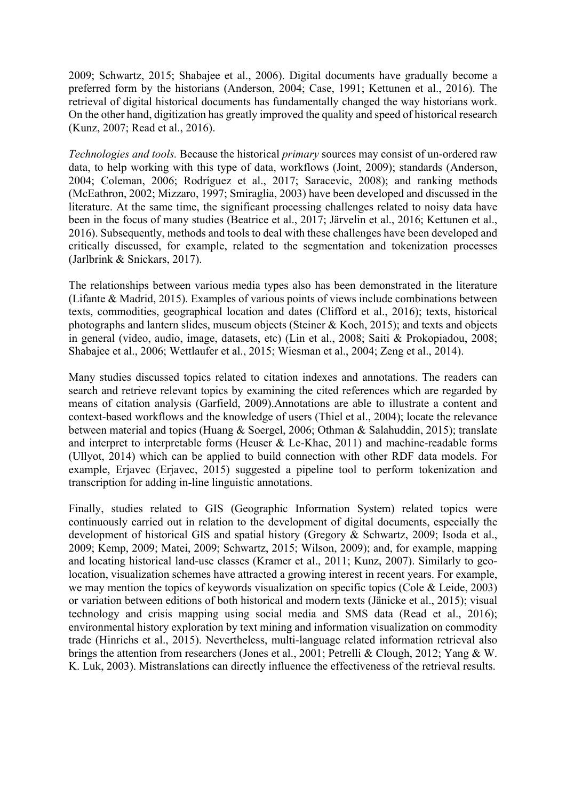2009; Schwartz, 2015; Shabajee et al., 2006). Digital documents have gradually become a preferred form by the historians (Anderson, 2004; Case, 1991; Kettunen et al., 2016). The retrieval of digital historical documents has fundamentally changed the way historians work. On the other hand, digitization has greatly improved the quality and speed of historical research (Kunz, 2007; Read et al., 2016).

*Technologies and tools.* Because the historical *primary* sources may consist of un-ordered raw data, to help working with this type of data, workflows (Joint, 2009); standards (Anderson, 2004; Coleman, 2006; Rodríguez et al., 2017; Saracevic, 2008); and ranking methods (McEathron, 2002; Mizzaro, 1997; Smiraglia, 2003) have been developed and discussed in the literature. At the same time, the significant processing challenges related to noisy data have been in the focus of many studies (Beatrice et al., 2017; Järvelin et al., 2016; Kettunen et al., 2016). Subsequently, methods and tools to deal with these challenges have been developed and critically discussed, for example, related to the segmentation and tokenization processes (Jarlbrink & Snickars, 2017).

The relationships between various media types also has been demonstrated in the literature (Lifante & Madrid, 2015). Examples of various points of views include combinations between texts, commodities, geographical location and dates (Clifford et al., 2016); texts, historical photographs and lantern slides, museum objects (Steiner & Koch, 2015); and texts and objects in general (video, audio, image, datasets, etc) (Lin et al., 2008; Saiti & Prokopiadou, 2008; Shabajee et al., 2006; Wettlaufer et al., 2015; Wiesman et al., 2004; Zeng et al., 2014).

Many studies discussed topics related to citation indexes and annotations. The readers can search and retrieve relevant topics by examining the cited references which are regarded by means of citation analysis (Garfield, 2009).Annotations are able to illustrate a content and context-based workflows and the knowledge of users (Thiel et al., 2004); locate the relevance between material and topics (Huang & Soergel, 2006; Othman & Salahuddin, 2015); translate and interpret to interpretable forms (Heuser & Le-Khac, 2011) and machine-readable forms (Ullyot, 2014) which can be applied to build connection with other RDF data models. For example, Erjavec (Erjavec, 2015) suggested a pipeline tool to perform tokenization and transcription for adding in-line linguistic annotations.

Finally, studies related to GIS (Geographic Information System) related topics were continuously carried out in relation to the development of digital documents, especially the development of historical GIS and spatial history (Gregory & Schwartz, 2009; Isoda et al., 2009; Kemp, 2009; Matei, 2009; Schwartz, 2015; Wilson, 2009); and, for example, mapping and locating historical land-use classes (Kramer et al., 2011; Kunz, 2007). Similarly to geolocation, visualization schemes have attracted a growing interest in recent years. For example, we may mention the topics of keywords visualization on specific topics (Cole & Leide, 2003) or variation between editions of both historical and modern texts (Jänicke et al., 2015); visual technology and crisis mapping using social media and SMS data (Read et al., 2016); environmental history exploration by text mining and information visualization on commodity trade (Hinrichs et al., 2015). Nevertheless, multi-language related information retrieval also brings the attention from researchers (Jones et al., 2001; Petrelli & Clough, 2012; Yang & W. K. Luk, 2003). Mistranslations can directly influence the effectiveness of the retrieval results.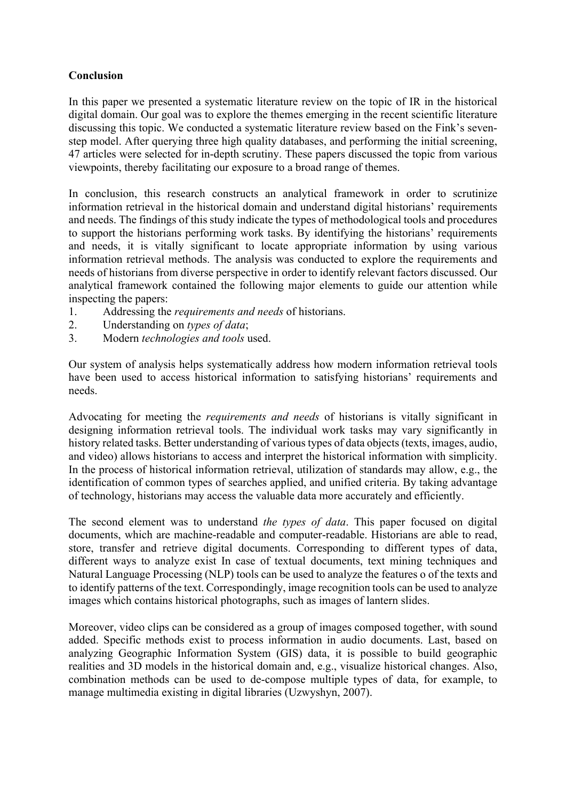#### **Conclusion**

In this paper we presented a systematic literature review on the topic of IR in the historical digital domain. Our goal was to explore the themes emerging in the recent scientific literature discussing this topic. We conducted a systematic literature review based on the Fink's sevenstep model. After querying three high quality databases, and performing the initial screening, 47 articles were selected for in-depth scrutiny. These papers discussed the topic from various viewpoints, thereby facilitating our exposure to a broad range of themes.

In conclusion, this research constructs an analytical framework in order to scrutinize information retrieval in the historical domain and understand digital historians' requirements and needs. The findings of this study indicate the types of methodological tools and procedures to support the historians performing work tasks. By identifying the historians' requirements and needs, it is vitally significant to locate appropriate information by using various information retrieval methods. The analysis was conducted to explore the requirements and needs of historians from diverse perspective in order to identify relevant factors discussed. Our analytical framework contained the following major elements to guide our attention while inspecting the papers:

- 1. Addressing the *requirements and needs* of historians.
- 2. Understanding on *types of data*;
- 3. Modern *technologies and tools* used.

Our system of analysis helps systematically address how modern information retrieval tools have been used to access historical information to satisfying historians' requirements and needs.

Advocating for meeting the *requirements and needs* of historians is vitally significant in designing information retrieval tools. The individual work tasks may vary significantly in history related tasks. Better understanding of various types of data objects (texts, images, audio, and video) allows historians to access and interpret the historical information with simplicity. In the process of historical information retrieval, utilization of standards may allow, e.g., the identification of common types of searches applied, and unified criteria. By taking advantage of technology, historians may access the valuable data more accurately and efficiently.

The second element was to understand *the types of data*. This paper focused on digital documents, which are machine-readable and computer-readable. Historians are able to read, store, transfer and retrieve digital documents. Corresponding to different types of data, different ways to analyze exist In case of textual documents, text mining techniques and Natural Language Processing (NLP) tools can be used to analyze the features o of the texts and to identify patterns of the text. Correspondingly, image recognition tools can be used to analyze images which contains historical photographs, such as images of lantern slides.

Moreover, video clips can be considered as a group of images composed together, with sound added. Specific methods exist to process information in audio documents. Last, based on analyzing Geographic Information System (GIS) data, it is possible to build geographic realities and 3D models in the historical domain and, e.g., visualize historical changes. Also, combination methods can be used to de-compose multiple types of data, for example, to manage multimedia existing in digital libraries (Uzwyshyn, 2007).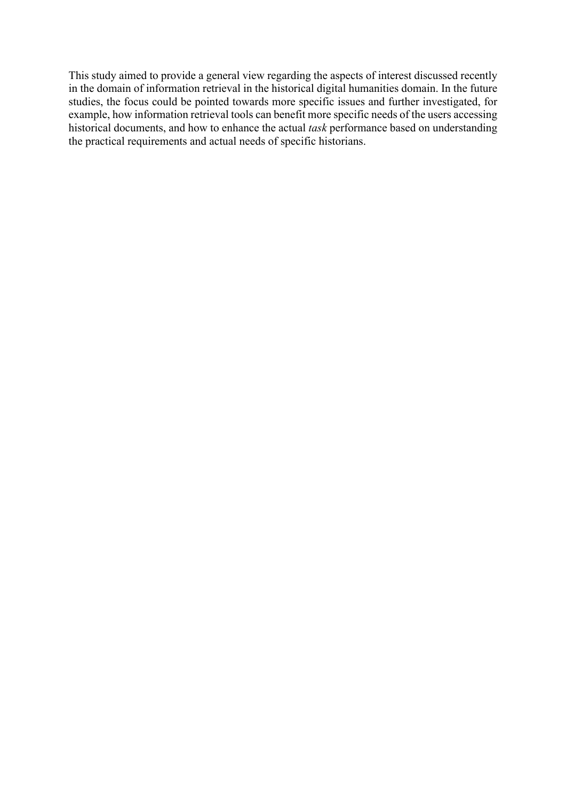This study aimed to provide a general view regarding the aspects of interest discussed recently in the domain of information retrieval in the historical digital humanities domain. In the future studies, the focus could be pointed towards more specific issues and further investigated, for example, how information retrieval tools can benefit more specific needs of the users accessing historical documents, and how to enhance the actual *task* performance based on understanding the practical requirements and actual needs of specific historians.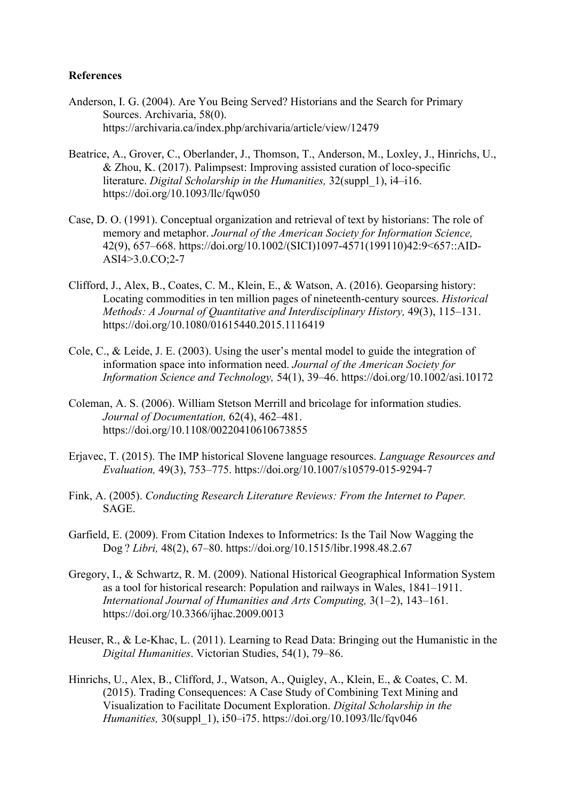#### **References**

- Anderson, I. G. (2004). Are You Being Served? Historians and the Search for Primary Sources. Archivaria, 58(0). https://archivaria.ca/index.php/archivaria/article/view/12479
- Beatrice, A., Grover, C., Oberlander, J., Thomson, T., Anderson, M., Loxley, J., Hinrichs, U., & Zhou, K. (2017). Palimpsest: Improving assisted curation of loco-specific literature. *Digital Scholarship in the Humanities,* 32(suppl\_1), i4–i16. https://doi.org/10.1093/llc/fqw050
- Case, D. O. (1991). Conceptual organization and retrieval of text by historians: The role of memory and metaphor. *Journal of the American Society for Information Science,* 42(9), 657–668. https://doi.org/10.1002/(SICI)1097-4571(199110)42:9<657::AID-ASI4>3.0.CO;2-7
- Clifford, J., Alex, B., Coates, C. M., Klein, E., & Watson, A. (2016). Geoparsing history: Locating commodities in ten million pages of nineteenth-century sources. *Historical Methods: A Journal of Quantitative and Interdisciplinary History,* 49(3), 115–131. https://doi.org/10.1080/01615440.2015.1116419
- Cole, C., & Leide, J. E. (2003). Using the user's mental model to guide the integration of information space into information need. *Journal of the American Society for Information Science and Technology,* 54(1), 39–46. https://doi.org/10.1002/asi.10172
- Coleman, A. S. (2006). William Stetson Merrill and bricolage for information studies. *Journal of Documentation,* 62(4), 462–481. https://doi.org/10.1108/00220410610673855
- Erjavec, T. (2015). The IMP historical Slovene language resources. *Language Resources and Evaluation,* 49(3), 753–775. https://doi.org/10.1007/s10579-015-9294-7
- Fink, A. (2005). *Conducting Research Literature Reviews: From the Internet to Paper.* SAGE.
- Garfield, E. (2009). From Citation Indexes to Informetrics: Is the Tail Now Wagging the Dog ? *Libri,* 48(2), 67–80. https://doi.org/10.1515/libr.1998.48.2.67
- Gregory, I., & Schwartz, R. M. (2009). National Historical Geographical Information System as a tool for historical research: Population and railways in Wales, 1841–1911. *International Journal of Humanities and Arts Computing,* 3(1–2), 143–161. https://doi.org/10.3366/ijhac.2009.0013
- Heuser, R., & Le-Khac, L. (2011). Learning to Read Data: Bringing out the Humanistic in the *Digital Humanities*. Victorian Studies, 54(1), 79–86.
- Hinrichs, U., Alex, B., Clifford, J., Watson, A., Quigley, A., Klein, E., & Coates, C. M. (2015). Trading Consequences: A Case Study of Combining Text Mining and Visualization to Facilitate Document Exploration. *Digital Scholarship in the Humanities,* 30(suppl\_1), i50–i75. https://doi.org/10.1093/llc/fqv046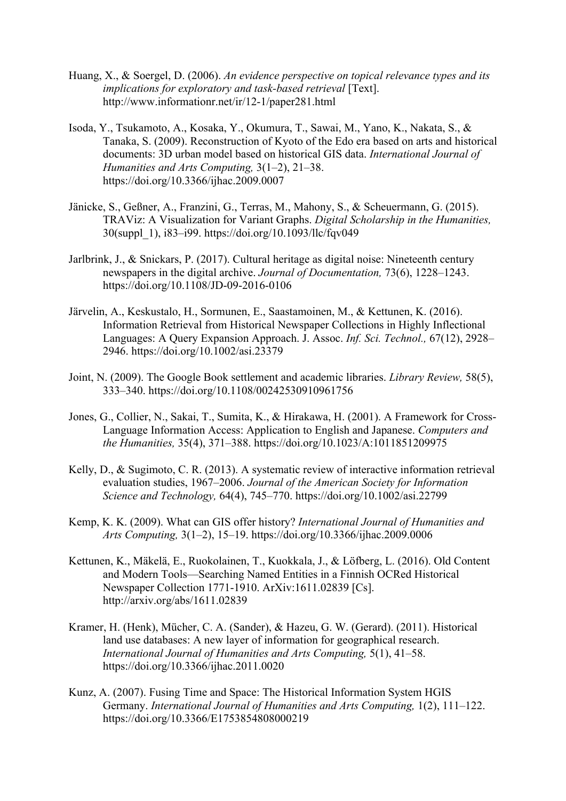- Huang, X., & Soergel, D. (2006). *An evidence perspective on topical relevance types and its implications for exploratory and task-based retrieval* [Text]. http://www.informationr.net/ir/12-1/paper281.html
- Isoda, Y., Tsukamoto, A., Kosaka, Y., Okumura, T., Sawai, M., Yano, K., Nakata, S., & Tanaka, S. (2009). Reconstruction of Kyoto of the Edo era based on arts and historical documents: 3D urban model based on historical GIS data. *International Journal of Humanities and Arts Computing,* 3(1–2), 21–38. https://doi.org/10.3366/ijhac.2009.0007
- Jänicke, S., Geßner, A., Franzini, G., Terras, M., Mahony, S., & Scheuermann, G. (2015). TRAViz: A Visualization for Variant Graphs. *Digital Scholarship in the Humanities,* 30(suppl\_1), i83–i99. https://doi.org/10.1093/llc/fqv049
- Jarlbrink, J., & Snickars, P. (2017). Cultural heritage as digital noise: Nineteenth century newspapers in the digital archive. *Journal of Documentation,* 73(6), 1228–1243. https://doi.org/10.1108/JD-09-2016-0106
- Järvelin, A., Keskustalo, H., Sormunen, E., Saastamoinen, M., & Kettunen, K. (2016). Information Retrieval from Historical Newspaper Collections in Highly Inflectional Languages: A Query Expansion Approach. J. Assoc. *Inf. Sci. Technol.,* 67(12), 2928– 2946. https://doi.org/10.1002/asi.23379
- Joint, N. (2009). The Google Book settlement and academic libraries. *Library Review,* 58(5), 333–340. https://doi.org/10.1108/00242530910961756
- Jones, G., Collier, N., Sakai, T., Sumita, K., & Hirakawa, H. (2001). A Framework for Cross-Language Information Access: Application to English and Japanese. *Computers and the Humanities,* 35(4), 371–388. https://doi.org/10.1023/A:1011851209975
- Kelly, D., & Sugimoto, C. R. (2013). A systematic review of interactive information retrieval evaluation studies, 1967–2006. *Journal of the American Society for Information Science and Technology,* 64(4), 745–770. https://doi.org/10.1002/asi.22799
- Kemp, K. K. (2009). What can GIS offer history? *International Journal of Humanities and Arts Computing,* 3(1–2), 15–19. https://doi.org/10.3366/ijhac.2009.0006
- Kettunen, K., Mäkelä, E., Ruokolainen, T., Kuokkala, J., & Löfberg, L. (2016). Old Content and Modern Tools—Searching Named Entities in a Finnish OCRed Historical Newspaper Collection 1771-1910. ArXiv:1611.02839 [Cs]. http://arxiv.org/abs/1611.02839
- Kramer, H. (Henk), Mücher, C. A. (Sander), & Hazeu, G. W. (Gerard). (2011). Historical land use databases: A new layer of information for geographical research. *International Journal of Humanities and Arts Computing,* 5(1), 41–58. https://doi.org/10.3366/ijhac.2011.0020
- Kunz, A. (2007). Fusing Time and Space: The Historical Information System HGIS Germany. *International Journal of Humanities and Arts Computing,* 1(2), 111–122. https://doi.org/10.3366/E1753854808000219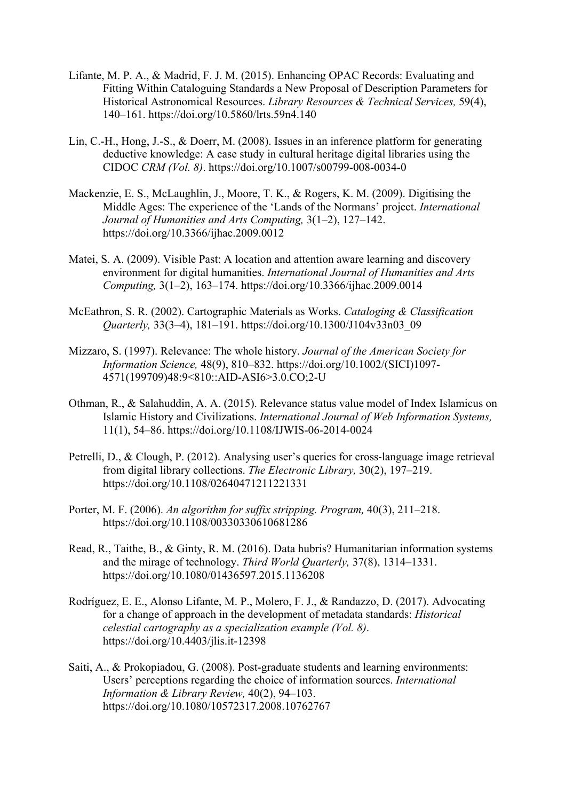- Lifante, M. P. A., & Madrid, F. J. M. (2015). Enhancing OPAC Records: Evaluating and Fitting Within Cataloguing Standards a New Proposal of Description Parameters for Historical Astronomical Resources. *Library Resources & Technical Services,* 59(4), 140–161. https://doi.org/10.5860/lrts.59n4.140
- Lin, C.-H., Hong, J.-S., & Doerr, M. (2008). Issues in an inference platform for generating deductive knowledge: A case study in cultural heritage digital libraries using the CIDOC *CRM (Vol. 8)*. https://doi.org/10.1007/s00799-008-0034-0
- Mackenzie, E. S., McLaughlin, J., Moore, T. K., & Rogers, K. M. (2009). Digitising the Middle Ages: The experience of the 'Lands of the Normans' project. *International Journal of Humanities and Arts Computing,* 3(1–2), 127–142. https://doi.org/10.3366/ijhac.2009.0012
- Matei, S. A. (2009). Visible Past: A location and attention aware learning and discovery environment for digital humanities. *International Journal of Humanities and Arts Computing,* 3(1–2), 163–174. https://doi.org/10.3366/ijhac.2009.0014
- McEathron, S. R. (2002). Cartographic Materials as Works. *Cataloging & Classification Quarterly,* 33(3–4), 181–191. https://doi.org/10.1300/J104v33n03\_09
- Mizzaro, S. (1997). Relevance: The whole history. *Journal of the American Society for Information Science,* 48(9), 810–832. https://doi.org/10.1002/(SICI)1097- 4571(199709)48:9<810::AID-ASI6>3.0.CO;2-U
- Othman, R., & Salahuddin, A. A. (2015). Relevance status value model of Index Islamicus on Islamic History and Civilizations. *International Journal of Web Information Systems,* 11(1), 54–86. https://doi.org/10.1108/IJWIS-06-2014-0024
- Petrelli, D., & Clough, P. (2012). Analysing user's queries for cross-language image retrieval from digital library collections. *The Electronic Library,* 30(2), 197–219. https://doi.org/10.1108/02640471211221331
- Porter, M. F. (2006). *An algorithm for suffix stripping. Program,* 40(3), 211–218. https://doi.org/10.1108/00330330610681286
- Read, R., Taithe, B., & Ginty, R. M. (2016). Data hubris? Humanitarian information systems and the mirage of technology. *Third World Quarterly,* 37(8), 1314–1331. https://doi.org/10.1080/01436597.2015.1136208
- Rodríguez, E. E., Alonso Lifante, M. P., Molero, F. J., & Randazzo, D. (2017). Advocating for a change of approach in the development of metadata standards: *Historical celestial cartography as a specialization example (Vol. 8)*. https://doi.org/10.4403/jlis.it-12398
- Saiti, A., & Prokopiadou, G. (2008). Post-graduate students and learning environments: Users' perceptions regarding the choice of information sources. *International Information & Library Review,* 40(2), 94–103. https://doi.org/10.1080/10572317.2008.10762767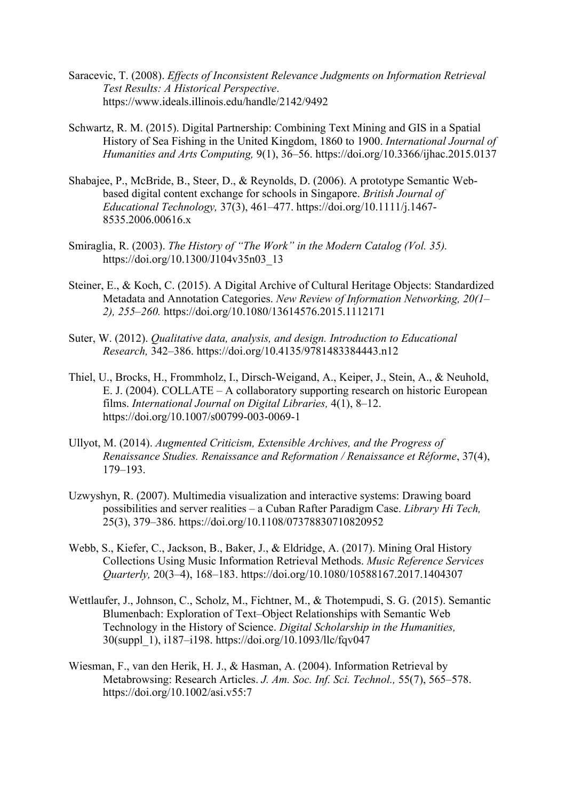- Saracevic, T. (2008). *Effects of Inconsistent Relevance Judgments on Information Retrieval Test Results: A Historical Perspective*. https://www.ideals.illinois.edu/handle/2142/9492
- Schwartz, R. M. (2015). Digital Partnership: Combining Text Mining and GIS in a Spatial History of Sea Fishing in the United Kingdom, 1860 to 1900. *International Journal of Humanities and Arts Computing,* 9(1), 36–56. https://doi.org/10.3366/ijhac.2015.0137
- Shabajee, P., McBride, B., Steer, D., & Reynolds, D. (2006). A prototype Semantic Webbased digital content exchange for schools in Singapore. *British Journal of Educational Technology,* 37(3), 461–477. https://doi.org/10.1111/j.1467- 8535.2006.00616.x
- Smiraglia, R. (2003). *The History of "The Work" in the Modern Catalog (Vol. 35).*  https://doi.org/10.1300/J104v35n03\_13
- Steiner, E., & Koch, C. (2015). A Digital Archive of Cultural Heritage Objects: Standardized Metadata and Annotation Categories. *New Review of Information Networking, 20(1– 2), 255–260.* https://doi.org/10.1080/13614576.2015.1112171
- Suter, W. (2012). *Qualitative data, analysis, and design. Introduction to Educational Research,* 342–386. https://doi.org/10.4135/9781483384443.n12
- Thiel, U., Brocks, H., Frommholz, I., Dirsch-Weigand, A., Keiper, J., Stein, A., & Neuhold, E. J. (2004). COLLATE – A collaboratory supporting research on historic European films. *International Journal on Digital Libraries,* 4(1), 8–12. https://doi.org/10.1007/s00799-003-0069-1
- Ullyot, M. (2014). *Augmented Criticism, Extensible Archives, and the Progress of Renaissance Studies. Renaissance and Reformation / Renaissance et Réforme*, 37(4), 179–193.
- Uzwyshyn, R. (2007). Multimedia visualization and interactive systems: Drawing board possibilities and server realities – a Cuban Rafter Paradigm Case. *Library Hi Tech,* 25(3), 379–386. https://doi.org/10.1108/07378830710820952
- Webb, S., Kiefer, C., Jackson, B., Baker, J., & Eldridge, A. (2017). Mining Oral History Collections Using Music Information Retrieval Methods. *Music Reference Services Quarterly,* 20(3–4), 168–183. https://doi.org/10.1080/10588167.2017.1404307
- Wettlaufer, J., Johnson, C., Scholz, M., Fichtner, M., & Thotempudi, S. G. (2015). Semantic Blumenbach: Exploration of Text–Object Relationships with Semantic Web Technology in the History of Science. *Digital Scholarship in the Humanities,* 30(suppl\_1), i187–i198. https://doi.org/10.1093/llc/fqv047
- Wiesman, F., van den Herik, H. J., & Hasman, A. (2004). Information Retrieval by Metabrowsing: Research Articles. *J. Am. Soc. Inf. Sci. Technol.,* 55(7), 565–578. https://doi.org/10.1002/asi.v55:7